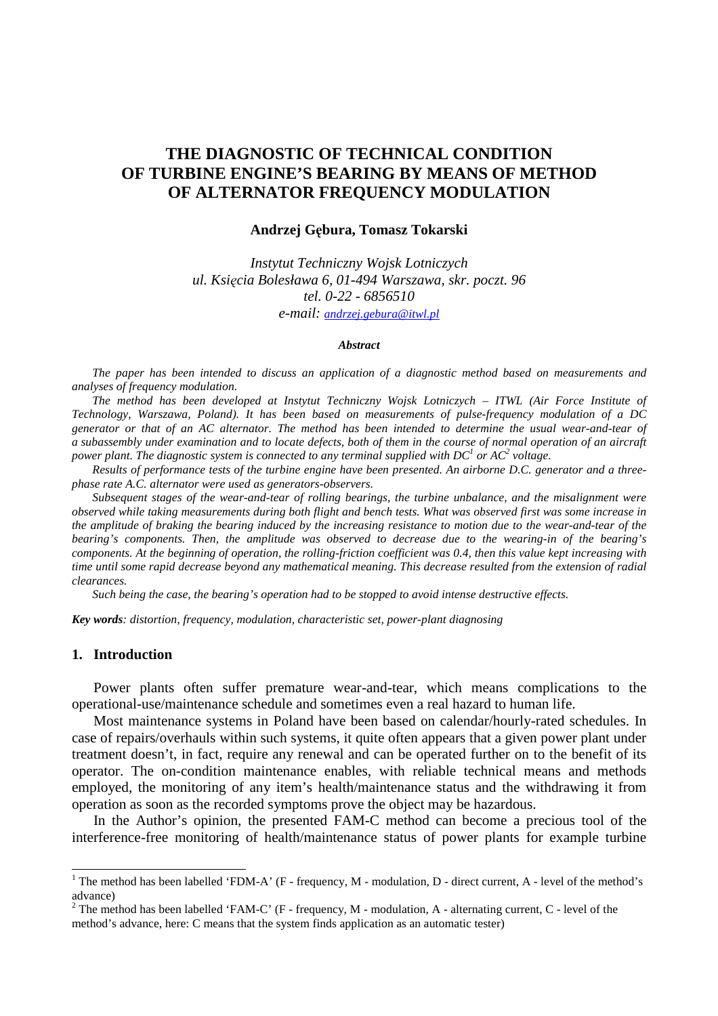# **THE DIAGNOSTIC OF TECHNICAL CONDITION OF TURBINE ENGINE'S BEARING BY MEANS OF METHOD OF ALTERNATOR FREQUENCY MODULATION**

#### **Andrzej G**ę**bura, Tomasz Tokarski**

*Instytut Techniczny Wojsk Lotniczych ul. Ksi*ę*cia Bolesława 6, 01-494 Warszawa, skr. poczt. 96 tel. 0-22 - 6856510 e-mail: andrzej.gebura@itwl.pl*

#### *Abstract*

*The paper has been intended to discuss an application of a diagnostic method based on measurements and analyses of frequency modulation.* 

*The method has been developed at Instytut Techniczny Wojsk Lotniczych – ITWL (Air Force Institute of Technology, Warszawa, Poland). It has been based on measurements of pulse-frequency modulation of a DC generator or that of an AC alternator. The method has been intended to determine the usual wear-and-tear of a subassembly under examination and to locate defects, both of them in the course of normal operation of an aircraft power plant. The diagnostic system is connected to any terminal supplied with DC<sup>1</sup> or AC<sup>2</sup> voltage.* 

*Results of performance tests of the turbine engine have been presented. An airborne D.C. generator and a threephase rate A.C. alternator were used as generators-observers.* 

*Subsequent stages of the wear-and-tear of rolling bearings, the turbine unbalance, and the misalignment were observed while taking measurements during both flight and bench tests. What was observed first was some increase in the amplitude of braking the bearing induced by the increasing resistance to motion due to the wear-and-tear of the bearing's components. Then, the amplitude was observed to decrease due to the wearing-in of the bearing's components. At the beginning of operation, the rolling-friction coefficient was 0.4, then this value kept increasing with time until some rapid decrease beyond any mathematical meaning. This decrease resulted from the extension of radial clearances.* 

*Such being the case, the bearing's operation had to be stopped to avoid intense destructive effects.* 

*Key words: distortion, frequency, modulation, characteristic set, power-plant diagnosing* 

# **1. Introduction**

Power plants often suffer premature wear-and-tear, which means complications to the operational-use/maintenance schedule and sometimes even a real hazard to human life.

Most maintenance systems in Poland have been based on calendar/hourly-rated schedules. In case of repairs/overhauls within such systems, it quite often appears that a given power plant under treatment doesn't, in fact, require any renewal and can be operated further on to the benefit of its operator. The on-condition maintenance enables, with reliable technical means and methods employed, the monitoring of any item's health/maintenance status and the withdrawing it from operation as soon as the recorded symptoms prove the object may be hazardous.

In the Author's opinion, the presented FAM-C method can become a precious tool of the interference-free monitoring of health/maintenance status of power plants for example turbine

<sup>&</sup>lt;sup>1</sup> The method has been labelled 'FDM-A' (F - frequency, M - modulation, D - direct current, A - level of the method's advance)

<sup>&</sup>lt;sup>2</sup> The method has been labelled 'FAM-C' (F - frequency, M - modulation, A - alternating current, C - level of the method's advance, here: C means that the system finds application as an automatic tester)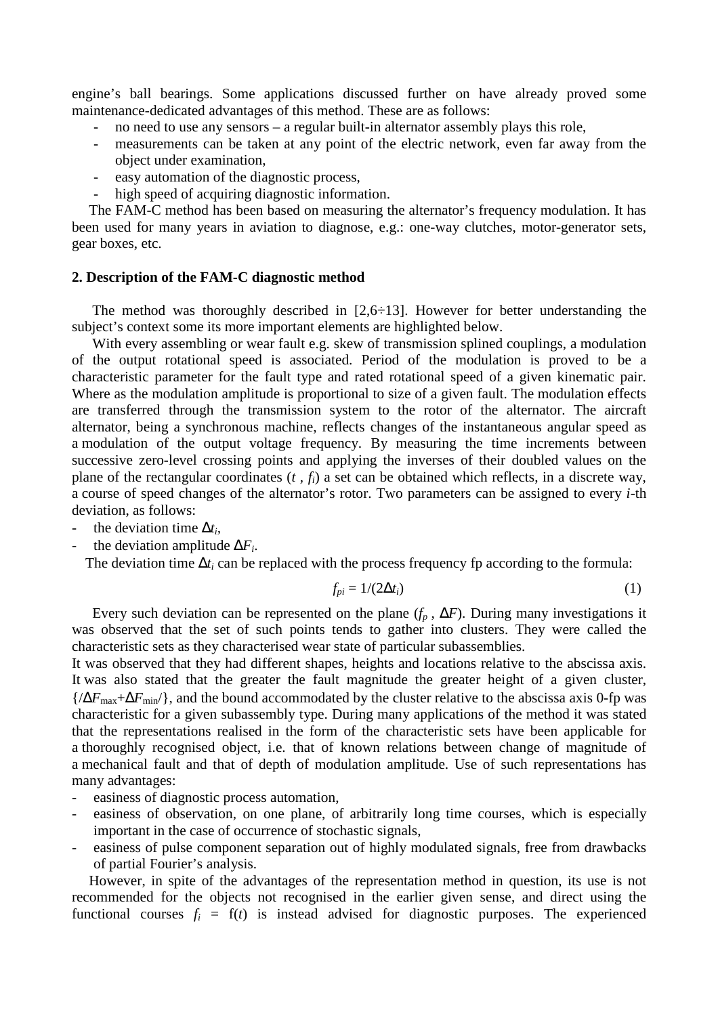engine's ball bearings. Some applications discussed further on have already proved some maintenance-dedicated advantages of this method. These are as follows:

- no need to use any sensors a regular built-in alternator assembly plays this role,
- measurements can be taken at any point of the electric network, even far away from the object under examination,
- easy automation of the diagnostic process,
- high speed of acquiring diagnostic information.

The FAM-C method has been based on measuring the alternator's frequency modulation. It has been used for many years in aviation to diagnose, e.g.: one-way clutches, motor-generator sets, gear boxes, etc.

#### **2. Description of the FAM-C diagnostic method**

The method was thoroughly described in  $[2,6,6,13]$ . However for better understanding the subject's context some its more important elements are highlighted below.

With every assembling or wear fault e.g. skew of transmission splined couplings, a modulation of the output rotational speed is associated. Period of the modulation is proved to be a characteristic parameter for the fault type and rated rotational speed of a given kinematic pair. Where as the modulation amplitude is proportional to size of a given fault. The modulation effects are transferred through the transmission system to the rotor of the alternator. The aircraft alternator, being a synchronous machine, reflects changes of the instantaneous angular speed as a modulation of the output voltage frequency. By measuring the time increments between successive zero-level crossing points and applying the inverses of their doubled values on the plane of the rectangular coordinates (*t , fi*) a set can be obtained which reflects, in a discrete way, a course of speed changes of the alternator's rotor. Two parameters can be assigned to every *i*-th deviation, as follows:

- the deviation time ∆*t<sup>i</sup> ,*
- the deviation amplitude ∆*F<sup>i</sup>* .

The deviation time  $\Delta t_i$  can be replaced with the process frequency fp according to the formula:

$$
f_{pi} = 1/(2\Delta t_i) \tag{1}
$$

Every such deviation can be represented on the plane  $(f_p, \Delta F)$ . During many investigations it was observed that the set of such points tends to gather into clusters. They were called the characteristic sets as they characterised wear state of particular subassemblies.

It was observed that they had different shapes, heights and locations relative to the abscissa axis. It was also stated that the greater the fault magnitude the greater height of a given cluster, {/∆*F*max+∆*F*min/}, and the bound accommodated by the cluster relative to the abscissa axis 0-fp was characteristic for a given subassembly type. During many applications of the method it was stated that the representations realised in the form of the characteristic sets have been applicable for a thoroughly recognised object, i.e. that of known relations between change of magnitude of a mechanical fault and that of depth of modulation amplitude. Use of such representations has many advantages:

- easiness of diagnostic process automation,
- easiness of observation, on one plane, of arbitrarily long time courses, which is especially important in the case of occurrence of stochastic signals,
- easiness of pulse component separation out of highly modulated signals, free from drawbacks of partial Fourier's analysis.

However, in spite of the advantages of the representation method in question, its use is not recommended for the objects not recognised in the earlier given sense, and direct using the functional courses  $f_i = f(t)$  is instead advised for diagnostic purposes. The experienced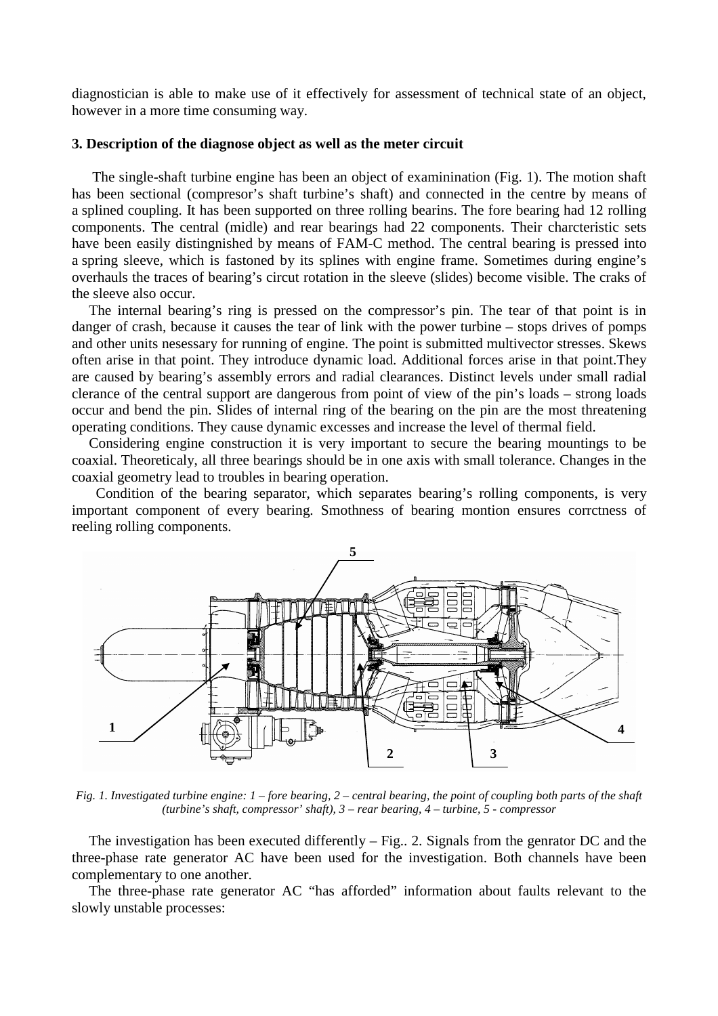diagnostician is able to make use of it effectively for assessment of technical state of an object, however in a more time consuming way.

#### **3. Description of the diagnose object as well as the meter circuit**

The single-shaft turbine engine has been an object of examinination (Fig. 1). The motion shaft has been sectional (compresor's shaft turbine's shaft) and connected in the centre by means of a splined coupling. It has been supported on three rolling bearins. The fore bearing had 12 rolling components. The central (midle) and rear bearings had 22 components. Their charcteristic sets have been easily distingnished by means of FAM-C method. The central bearing is pressed into a spring sleeve, which is fastoned by its splines with engine frame. Sometimes during engine's overhauls the traces of bearing's circut rotation in the sleeve (slides) become visible. The craks of the sleeve also occur.

The internal bearing's ring is pressed on the compressor's pin. The tear of that point is in danger of crash, because it causes the tear of link with the power turbine – stops drives of pomps and other units nesessary for running of engine. The point is submitted multivector stresses. Skews often arise in that point. They introduce dynamic load. Additional forces arise in that point.They are caused by bearing's assembly errors and radial clearances. Distinct levels under small radial clerance of the central support are dangerous from point of view of the pin's loads – strong loads occur and bend the pin. Slides of internal ring of the bearing on the pin are the most threatening operating conditions. They cause dynamic excesses and increase the level of thermal field.

Considering engine construction it is very important to secure the bearing mountings to be coaxial. Theoreticaly, all three bearings should be in one axis with small tolerance. Changes in the coaxial geometry lead to troubles in bearing operation.

 Condition of the bearing separator, which separates bearing's rolling components, is very important component of every bearing. Smothness of bearing montion ensures corrctness of reeling rolling components.



*Fig. 1. Investigated turbine engine: 1 – fore bearing, 2 – central bearing, the point of coupling both parts of the shaft (turbine's shaft, compressor' shaft), 3 – rear bearing, 4 – turbine, 5 - compressor* 

The investigation has been executed differently – Fig.. 2. Signals from the genrator DC and the three-phase rate generator AC have been used for the investigation. Both channels have been complementary to one another.

The three-phase rate generator AC "has afforded" information about faults relevant to the slowly unstable processes: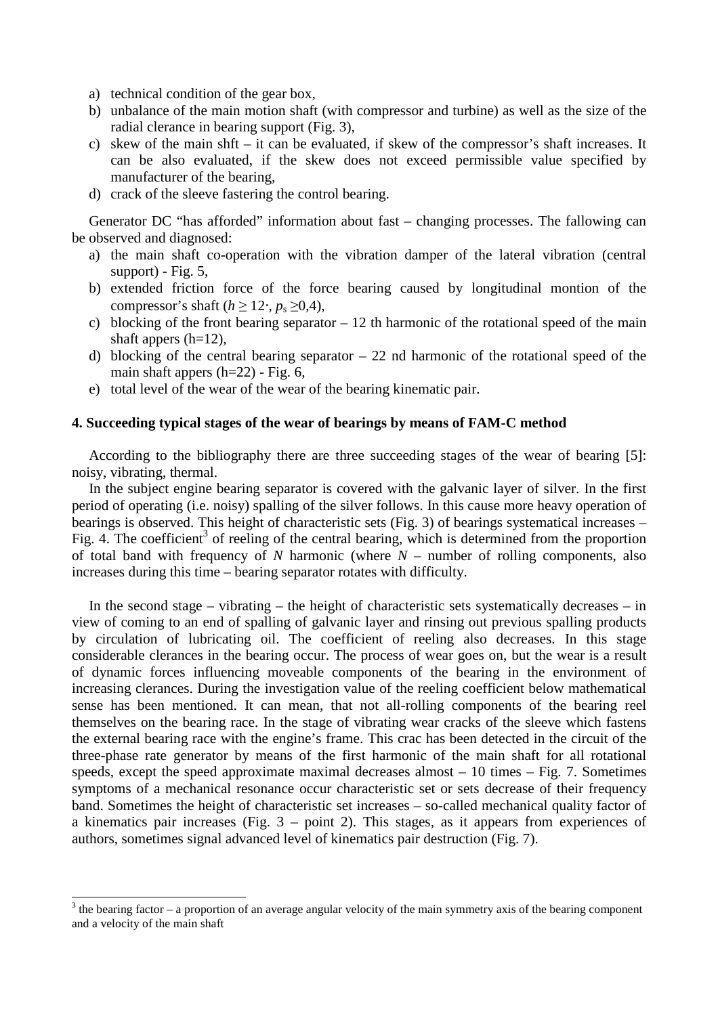- a) technical condition of the gear box,
- b) unbalance of the main motion shaft (with compressor and turbine) as well as the size of the radial clerance in bearing support (Fig. 3),
- c) skew of the main shft it can be evaluated, if skew of the compressor's shaft increases. It can be also evaluated, if the skew does not exceed permissible value specified by manufacturer of the bearing,
- d) crack of the sleeve fastering the control bearing.

Generator DC "has afforded" information about fast – changing processes. The fallowing can be observed and diagnosed:

- a) the main shaft co-operation with the vibration damper of the lateral vibration (central support) - Fig.  $5$ ,
- b) extended friction force of the force bearing caused by longitudinal montion of the compressor's shaft ( $h \ge 12 \cdot$ ,  $p_s \ge 0.4$ ),
- c) blocking of the front bearing separator  $-12$  th harmonic of the rotational speed of the main shaft appers  $(h=12)$ ,
- d) blocking of the central bearing separator 22 nd harmonic of the rotational speed of the main shaft appers  $(h=22)$  - Fig. 6,
- e) total level of the wear of the wear of the bearing kinematic pair.

# **4. Succeeding typical stages of the wear of bearings by means of FAM-C method**

According to the bibliography there are three succeeding stages of the wear of bearing [5]: noisy, vibrating, thermal.

In the subject engine bearing separator is covered with the galvanic layer of silver. In the first period of operating (i.e. noisy) spalling of the silver follows. In this cause more heavy operation of bearings is observed. This height of characteristic sets (Fig. 3) of bearings systematical increases – Fig. 4. The coefficient<sup>3</sup> of reeling of the central bearing, which is determined from the proportion of total band with frequency of *N* harmonic (where *N* – number of rolling components, also increases during this time – bearing separator rotates with difficulty.

In the second stage – vibrating – the height of characteristic sets systematically decreases – in view of coming to an end of spalling of galvanic layer and rinsing out previous spalling products by circulation of lubricating oil. The coefficient of reeling also decreases. In this stage considerable clerances in the bearing occur. The process of wear goes on, but the wear is a result of dynamic forces influencing moveable components of the bearing in the environment of increasing clerances. During the investigation value of the reeling coefficient below mathematical sense has been mentioned. It can mean, that not all-rolling components of the bearing reel themselves on the bearing race. In the stage of vibrating wear cracks of the sleeve which fastens the external bearing race with the engine's frame. This crac has been detected in the circuit of the three-phase rate generator by means of the first harmonic of the main shaft for all rotational speeds, except the speed approximate maximal decreases almost  $-10$  times  $-$  Fig. 7. Sometimes symptoms of a mechanical resonance occur characteristic set or sets decrease of their frequency band. Sometimes the height of characteristic set increases – so-called mechanical quality factor of a kinematics pair increases (Fig. 3 – point 2). This stages, as it appears from experiences of authors, sometimes signal advanced level of kinematics pair destruction (Fig. 7).

<sup>&</sup>lt;sup>3</sup> the bearing factor – a proportion of an average angular velocity of the main symmetry axis of the bearing component and a velocity of the main shaft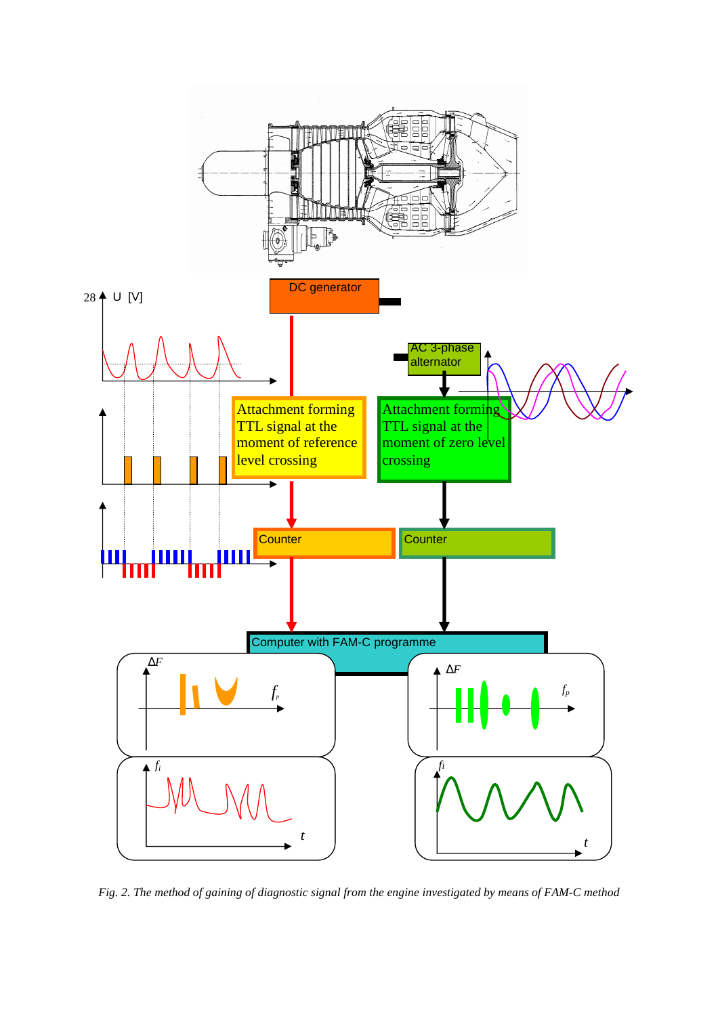

*Fig. 2. The method of gaining of diagnostic signal from the engine investigated by means of FAM-C method*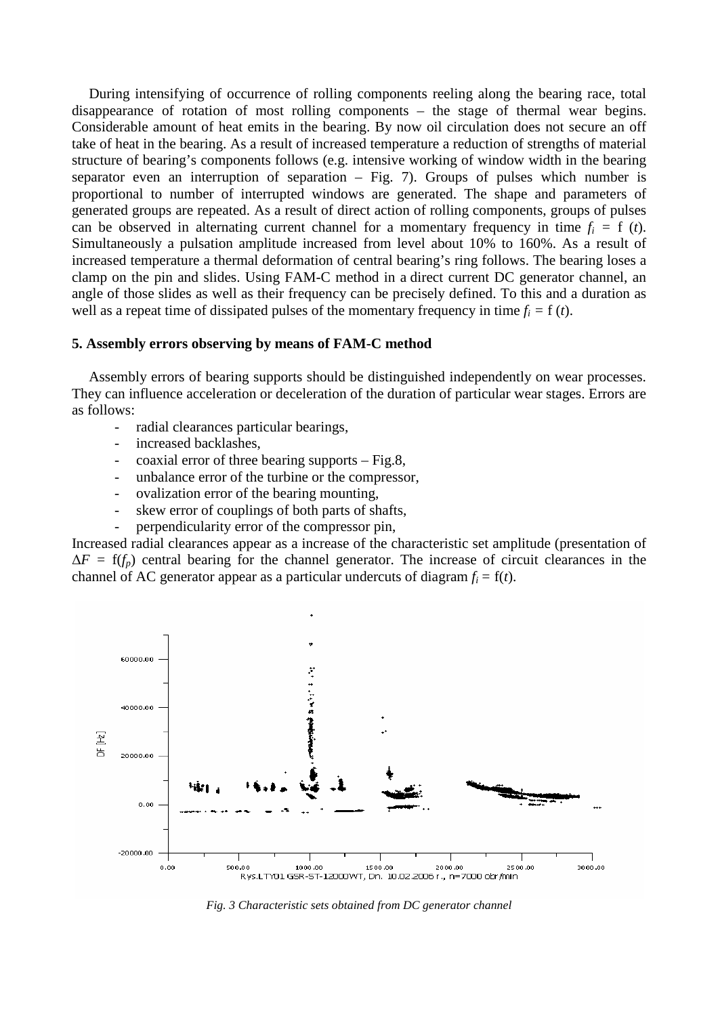During intensifying of occurrence of rolling components reeling along the bearing race, total disappearance of rotation of most rolling components – the stage of thermal wear begins. Considerable amount of heat emits in the bearing. By now oil circulation does not secure an off take of heat in the bearing. As a result of increased temperature a reduction of strengths of material structure of bearing's components follows (e.g. intensive working of window width in the bearing separator even an interruption of separation – Fig. 7). Groups of pulses which number is proportional to number of interrupted windows are generated. The shape and parameters of generated groups are repeated. As a result of direct action of rolling components, groups of pulses can be observed in alternating current channel for a momentary frequency in time  $f_i = f(t)$ . Simultaneously a pulsation amplitude increased from level about 10% to 160%. As a result of increased temperature a thermal deformation of central bearing's ring follows. The bearing loses a clamp on the pin and slides. Using FAM-C method in a direct current DC generator channel, an angle of those slides as well as their frequency can be precisely defined. To this and a duration as well as a repeat time of dissipated pulses of the momentary frequency in time  $f_i = f(t)$ .

#### **5. Assembly errors observing by means of FAM-C method**

Assembly errors of bearing supports should be distinguished independently on wear processes. They can influence acceleration or deceleration of the duration of particular wear stages. Errors are as follows:

- radial clearances particular bearings,
- increased backlashes.
- $\alpha$  coaxial error of three bearing supports Fig.8,
- unbalance error of the turbine or the compressor.
- ovalization error of the bearing mounting,
- skew error of couplings of both parts of shafts,
- perpendicularity error of the compressor pin,

Increased radial clearances appear as a increase of the characteristic set amplitude (presentation of  $\Delta F = f(f_p)$  central bearing for the channel generator. The increase of circuit clearances in the channel of AC generator appear as a particular undercuts of diagram  $f_i = f(t)$ .



*Fig. 3 Characteristic sets obtained from DC generator channel*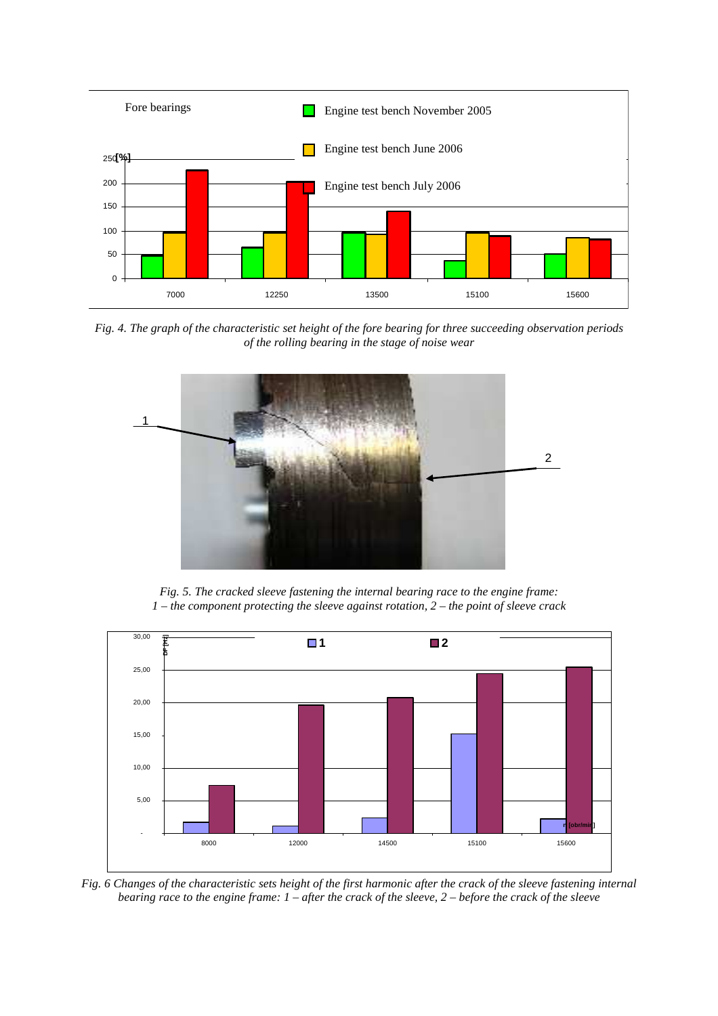

*Fig. 4. The graph of the characteristic set height of the fore bearing for three succeeding observation periods of the rolling bearing in the stage of noise wear* 



*Fig. 5. The cracked sleeve fastening the internal bearing race to the engine frame: 1 – the component protecting the sleeve against rotation, 2 – the point of sleeve crack* 



*Fig. 6 Changes of the characteristic sets height of the first harmonic after the crack of the sleeve fastening internal bearing race to the engine frame: 1 – after the crack of the sleeve, 2 – before the crack of the sleeve*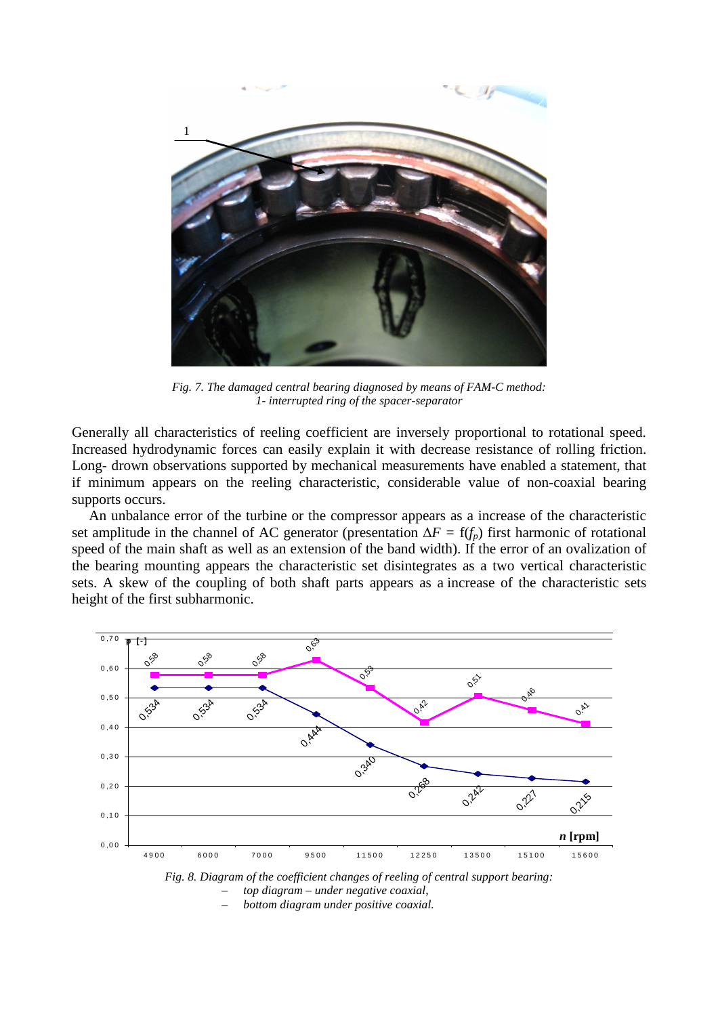

*Fig. 7. The damaged central bearing diagnosed by means of FAM-C method: 1- interrupted ring of the spacer-separator* 

Generally all characteristics of reeling coefficient are inversely proportional to rotational speed. Increased hydrodynamic forces can easily explain it with decrease resistance of rolling friction. Long- drown observations supported by mechanical measurements have enabled a statement, that if minimum appears on the reeling characteristic, considerable value of non-coaxial bearing supports occurs.

An unbalance error of the turbine or the compressor appears as a increase of the characteristic set amplitude in the channel of AC generator (presentation ∆*F =* f(*fp*) first harmonic of rotational speed of the main shaft as well as an extension of the band width). If the error of an ovalization of the bearing mounting appears the characteristic set disintegrates as a two vertical characteristic sets. A skew of the coupling of both shaft parts appears as a increase of the characteristic sets height of the first subharmonic.



– *top diagram – under negative coaxial,* 

– *bottom diagram under positive coaxial.*